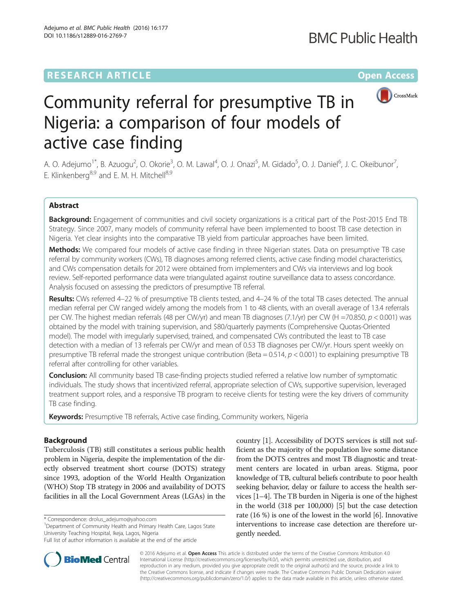# **RESEARCH ARTICLE External Structure Community Community Community Community Community Community Community Community**



# Community referral for presumptive TB in Nigeria: a comparison of four models of active case finding

A. O. Adejumo<sup>1\*</sup>, B. Azuogu<sup>2</sup>, O. Okorie<sup>3</sup>, O. M. Lawal<sup>4</sup>, O. J. Onazi<sup>5</sup>, M. Gidado<sup>5</sup>, O. J. Daniel<sup>6</sup>, J. C. Okeibunor<sup>7</sup> , E. Klinkenberg<sup>8,9</sup> and E. M. H. Mitchell<sup>8,9</sup>

# Abstract

Background: Engagement of communities and civil society organizations is a critical part of the Post-2015 End TB Strategy. Since 2007, many models of community referral have been implemented to boost TB case detection in Nigeria. Yet clear insights into the comparative TB yield from particular approaches have been limited.

Methods: We compared four models of active case finding in three Nigerian states. Data on presumptive TB case referral by community workers (CWs), TB diagnoses among referred clients, active case finding model characteristics, and CWs compensation details for 2012 were obtained from implementers and CWs via interviews and log book review. Self-reported performance data were triangulated against routine surveillance data to assess concordance. Analysis focused on assessing the predictors of presumptive TB referral.

Results: CWs referred 4–22 % of presumptive TB clients tested, and 4–24 % of the total TB cases detected. The annual median referral per CW ranged widely among the models from 1 to 48 clients, with an overall average of 13.4 referrals per CW. The highest median referrals (48 per CW/yr) and mean TB diagnoses (7.1/yr) per CW (H =70.850, p < 0.001) was obtained by the model with training supervision, and \$80/quarterly payments (Comprehensive Quotas-Oriented model). The model with irregularly supervised, trained, and compensated CWs contributed the least to TB case detection with a median of 13 referrals per CW/yr and mean of 0.53 TB diagnoses per CW/yr. Hours spent weekly on presumptive TB referral made the strongest unique contribution (Beta =  $0.514$ ,  $p < 0.001$ ) to explaining presumptive TB referral after controlling for other variables.

**Conclusion:** All community based TB case-finding projects studied referred a relative low number of symptomatic individuals. The study shows that incentivized referral, appropriate selection of CWs, supportive supervision, leveraged treatment support roles, and a responsive TB program to receive clients for testing were the key drivers of community TB case finding.

Keywords: Presumptive TB referrals, Active case finding, Community workers, Nigeria

# Background

Tuberculosis (TB) still constitutes a serious public health problem in Nigeria, despite the implementation of the directly observed treatment short course (DOTS) strategy since 1993, adoption of the World Health Organization (WHO) Stop TB strategy in 2006 and availability of DOTS facilities in all the Local Government Areas (LGAs) in the

\* Correspondence: [drolus\\_adejumo@yahoo.com](mailto:drolus_adejumo@yahoo.com) <sup>1</sup>

<sup>1</sup>Department of Community Health and Primary Health Care, Lagos State University Teaching Hospital, Ikeja, Lagos, Nigeria

country [[1](#page-7-0)]. Accessibility of DOTS services is still not sufficient as the majority of the population live some distance from the DOTS centres and most TB diagnostic and treatment centers are located in urban areas. Stigma, poor knowledge of TB, cultural beliefs contribute to poor health seeking behavior, delay or failure to access the health services [[1](#page-7-0)–[4](#page-7-0)]. The TB burden in Nigeria is one of the highest in the world (318 per 100,000) [[5\]](#page-7-0) but the case detection rate (16 %) is one of the lowest in the world [\[6](#page-7-0)]. Innovative interventions to increase case detection are therefore urgently needed.



© 2016 Adejumo et al. **Open Access** This article is distributed under the terms of the Creative Commons Attribution 4.0 International License [\(http://creativecommons.org/licenses/by/4.0/](http://creativecommons.org/licenses/by/4.0/)), which permits unrestricted use, distribution, and reproduction in any medium, provided you give appropriate credit to the original author(s) and the source, provide a link to the Creative Commons license, and indicate if changes were made. The Creative Commons Public Domain Dedication waiver [\(http://creativecommons.org/publicdomain/zero/1.0/](http://creativecommons.org/publicdomain/zero/1.0/)) applies to the data made available in this article, unless otherwise stated.

Full list of author information is available at the end of the article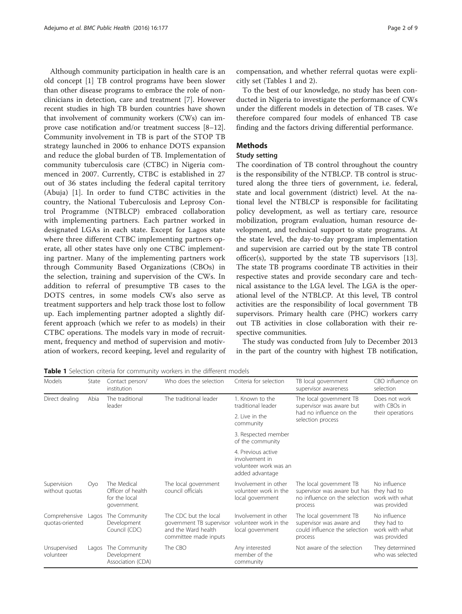<span id="page-1-0"></span>Although community participation in health care is an old concept [\[1\]](#page-7-0) TB control programs have been slower than other disease programs to embrace the role of nonclinicians in detection, care and treatment [\[7](#page-7-0)]. However recent studies in high TB burden countries have shown that involvement of community workers (CWs) can improve case notification and/or treatment success [\[8](#page-7-0)–[12](#page-8-0)]. Community involvement in TB is part of the STOP TB strategy launched in 2006 to enhance DOTS expansion and reduce the global burden of TB. Implementation of community tuberculosis care (CTBC) in Nigeria commenced in 2007. Currently, CTBC is established in 27 out of 36 states including the federal capital territory (Abuja) [\[1](#page-7-0)]. In order to fund CTBC activities in the country, the National Tuberculosis and Leprosy Control Programme (NTBLCP) embraced collaboration with implementing partners. Each partner worked in designated LGAs in each state. Except for Lagos state where three different CTBC implementing partners operate, all other states have only one CTBC implementing partner. Many of the implementing partners work through Community Based Organizations (CBOs) in the selection, training and supervision of the CWs. In addition to referral of presumptive TB cases to the DOTS centres, in some models CWs also serve as treatment supporters and help track those lost to follow up. Each implementing partner adopted a slightly different approach (which we refer to as models) in their CTBC operations. The models vary in mode of recruitment, frequency and method of supervision and motivation of workers, record keeping, level and regularity of compensation, and whether referral quotas were explicitly set (Tables 1 and [2\)](#page-2-0).

To the best of our knowledge, no study has been conducted in Nigeria to investigate the performance of CWs under the different models in detection of TB cases. We therefore compared four models of enhanced TB case finding and the factors driving differential performance.

# Methods

# Study setting

The coordination of TB control throughout the country is the responsibility of the NTBLCP. TB control is structured along the three tiers of government, i.e. federal, state and local government (district) level. At the national level the NTBLCP is responsible for facilitating policy development, as well as tertiary care, resource mobilization, program evaluation, human resource development, and technical support to state programs. At the state level, the day-to-day program implementation and supervision are carried out by the state TB control officer(s), supported by the state TB supervisors [\[13](#page-8-0)]. The state TB programs coordinate TB activities in their respective states and provide secondary care and technical assistance to the LGA level. The LGA is the operational level of the NTBLCP. At this level, TB control activities are the responsibility of local government TB supervisors. Primary health care (PHC) workers carry out TB activities in close collaboration with their respective communities.

The study was conducted from July to December 2013 in the part of the country with highest TB notification,

Table 1 Selection criteria for community workers in the different models

| Models                           | State | Contact person/<br>institution                                   | Who does the selection                                                                            | Criteria for selection                                                           | TB local government<br>supervisor awareness                                                         | CBO influence on<br>selection                                 |
|----------------------------------|-------|------------------------------------------------------------------|---------------------------------------------------------------------------------------------------|----------------------------------------------------------------------------------|-----------------------------------------------------------------------------------------------------|---------------------------------------------------------------|
| Direct dealing                   | Abia  | The traditional<br>leader                                        | The traditional leader                                                                            | 1. Known to the<br>traditional leader                                            | The local government TB<br>supervisor was aware but                                                 | Does not work<br>with CBOs in<br>their operations             |
|                                  |       |                                                                  |                                                                                                   | 2. Live in the<br>community                                                      | had no influence on the<br>selection process                                                        |                                                               |
|                                  |       |                                                                  |                                                                                                   | 3. Respected member<br>of the community                                          |                                                                                                     |                                                               |
|                                  |       |                                                                  |                                                                                                   | 4. Previous active<br>involvement in<br>volunteer work was an<br>added advantage |                                                                                                     |                                                               |
| Supervision<br>without quotas    | Oyo   | The Medical<br>Officer of health<br>for the local<br>government. | The local government<br>council officials                                                         | Involvement in other<br>volunteer work in the<br>local government                | The local government TB<br>supervisor was aware but has<br>no influence on the selection<br>process | No influence<br>they had to<br>work with what<br>was provided |
| Comprehensive<br>quotas-oriented | Lagos | The Community<br>Development<br>Council (CDC)                    | The CDC but the local<br>government TB supervisor<br>and the Ward health<br>committee made inputs | Involvement in other<br>volunteer work in the<br>local government                | The local government TB<br>supervisor was aware and<br>could influence the selection<br>process     | No influence<br>they had to<br>work with what<br>was provided |
| Unsupervised<br>volunteer        | Lagos | The Community<br>Development<br>Association (CDA)                | The CBO                                                                                           | Any interested<br>member of the<br>community                                     | Not aware of the selection                                                                          | They determined<br>who was selected                           |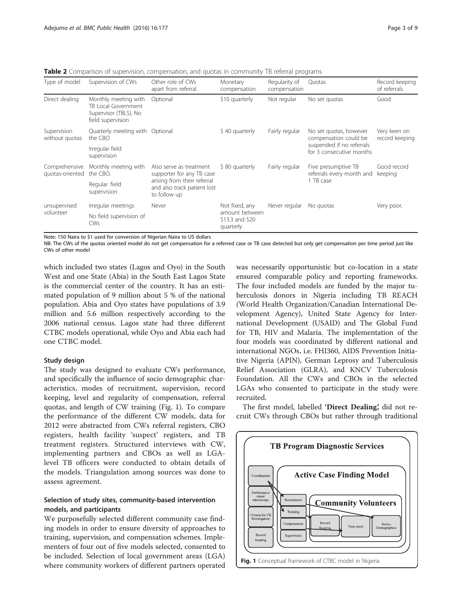<span id="page-2-0"></span>**Table 2** Comparison of supervision, compensation, and quotas in community TB referral programs

| Type of model                    | Supervision of CWs                                                                        | Other role of CWs<br>apart from referral                                   | Monetary<br>compensation                                         | Regularity of<br>compensation | Quotas                                                                                                   | Record keeping<br>of referrals |
|----------------------------------|-------------------------------------------------------------------------------------------|----------------------------------------------------------------------------|------------------------------------------------------------------|-------------------------------|----------------------------------------------------------------------------------------------------------|--------------------------------|
| Direct dealing                   | Monthly meeting with<br>TB Local Government<br>Supervisor (TBLS), No<br>field supervision | Optional                                                                   | \$10 quarterly                                                   | Not regular                   | No set quotas                                                                                            | Good                           |
| Supervision<br>without quotas    | Quarterly meeting with Optional<br>the CBO                                                |                                                                            | \$40 quarterly                                                   | Fairly regular                | No set quotas, however<br>compensation could be<br>suspended if no referrals<br>for 3 consecutive months | Very keen on<br>record keeping |
|                                  | Irregular field<br>supervision                                                            |                                                                            |                                                                  |                               |                                                                                                          |                                |
| Comprehensive<br>quotas-oriented | Monthly meeting with<br>the CBO.                                                          | Also serve as treatment<br>supporter for any TB case                       | \$80 quarterly                                                   | Fairly regular                | Five presumptive TB<br>referrals every month and<br>1 TB case                                            | Good record<br>keeping         |
|                                  | Regular field<br>supervision                                                              | arising from their referral<br>and also track patient lost<br>to follow up |                                                                  |                               |                                                                                                          |                                |
| unsupervised<br>volunteer        | Irregular meetings                                                                        | Never                                                                      | Not fixed, any<br>amount between<br>\$13.3 and \$20<br>quarterly | Never regular                 | No quotas                                                                                                | Very poor,                     |
|                                  | No field supervision of<br>CWs                                                            |                                                                            |                                                                  |                               |                                                                                                          |                                |

Note: 150 Naira to \$1 used for conversion of Nigerian Naira to US dollars

NB: The CWs of the quotas oriented model do not get compensation for a referred case or TB case detected but only get compensation per time period just like CWs of other model

which included two states (Lagos and Oyo) in the South West and one State (Abia) in the South East Lagos State is the commercial center of the country. It has an estimated population of 9 million about 5 % of the national population. Abia and Oyo states have populations of 3.9 million and 5.6 million respectively according to the 2006 national census. Lagos state had three different CTBC models operational, while Oyo and Abia each had one CTBC model.

# Study design

The study was designed to evaluate CWs performance, and specifically the influence of socio demographic characteristics, modes of recruitment, supervision, record keeping, level and regularity of compensation, referral quotas, and length of CW training (Fig. 1). To compare the performance of the different CW models, data for 2012 were abstracted from CWs referral registers, CBO registers, health facility 'suspect' registers, and TB treatment registers. Structured interviews with CW, implementing partners and CBOs as well as LGAlevel TB officers were conducted to obtain details of the models. Triangulation among sources was done to assess agreement.

# Selection of study sites, community-based intervention models, and participants

We purposefully selected different community case finding models in order to ensure diversity of approaches to training, supervision, and compensation schemes. Implementers of four out of five models selected, consented to be included. Selection of local government areas (LGA) where community workers of different partners operated was necessarily opportunistic but co-location in a state ensured comparable policy and reporting frameworks. The four included models are funded by the major tuberculosis donors in Nigeria including TB REACH (World Health Organization/Canadian International Development Agency), United State Agency for International Development (USAID) and The Global Fund for TB, HIV and Malaria. The implementation of the four models was coordinated by different national and international NGOs, i.e. FHI360, AIDS Prevention Initiative Nigeria (APIN), German Leprosy and Tuberculosis Relief Association (GLRA), and KNCV Tuberculosis Foundation. All the CWs and CBOs in the selected LGAs who consented to participate in the study were recruited.

The first model, labelled 'Direct Dealing', did not recruit CWs through CBOs but rather through traditional

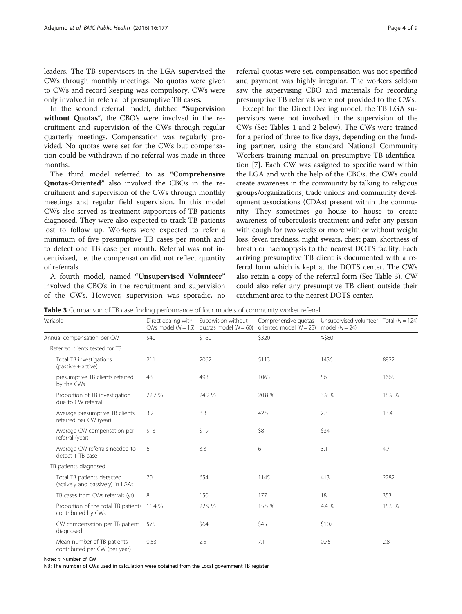<span id="page-3-0"></span>leaders. The TB supervisors in the LGA supervised the CWs through monthly meetings. No quotas were given to CWs and record keeping was compulsory. CWs were only involved in referral of presumptive TB cases.

In the second referral model, dubbed "Supervision without Quotas", the CBO's were involved in the recruitment and supervision of the CWs through regular quarterly meetings. Compensation was regularly provided. No quotas were set for the CWs but compensation could be withdrawn if no referral was made in three months.

The third model referred to as "Comprehensive Quotas-Oriented" also involved the CBOs in the recruitment and supervision of the CWs through monthly meetings and regular field supervision. In this model CWs also served as treatment supporters of TB patients diagnosed. They were also expected to track TB patients lost to follow up. Workers were expected to refer a minimum of five presumptive TB cases per month and to detect one TB case per month. Referral was not incentivized, i.e. the compensation did not reflect quantity of referrals.

A fourth model, named "Unsupervised Volunteer" involved the CBO's in the recruitment and supervision of the CWs. However, supervision was sporadic, no

referral quotas were set, compensation was not specified and payment was highly irregular. The workers seldom saw the supervising CBO and materials for recording presumptive TB referrals were not provided to the CWs.

Except for the Direct Dealing model, the TB LGA supervisors were not involved in the supervision of the CWs (See Tables [1](#page-1-0) and [2](#page-2-0) below). The CWs were trained for a period of three to five days, depending on the funding partner, using the standard National Community Workers training manual on presumptive TB identification [[7\]](#page-7-0). Each CW was assigned to specific ward within the LGA and with the help of the CBOs, the CWs could create awareness in the community by talking to religious groups/organizations, trade unions and community development associations (CDAs) present within the community. They sometimes go house to house to create awareness of tuberculosis treatment and refer any person with cough for two weeks or more with or without weight loss, fever, tiredness, night sweats, chest pain, shortness of breath or haemoptysis to the nearest DOTS facility. Each arriving presumptive TB client is documented with a referral form which is kept at the DOTS center. The CWs also retain a copy of the referral form (See Table 3). CW could also refer any presumptive TB client outside their catchment area to the nearest DOTS center.

**Table 3** Comparison of TB case finding performance of four models of community worker referral

Variable **Direct dealing with** CWs model  $(N = 15)$ Supervision without quotas model  $(N = 60)$ Comprehensive quotas oriented model  $(N = 25)$ Unsupervised volunteer Total ( $N = 124$ ) model  $(N = 24)$ Annual compensation per CW  $$40$  \$160  $$320$   $~$80$   $~$540$ Referred clients tested for TB Total TB investigations (passive + active) 211 2062 5113 1436 8822 presumptive TB clients referred by the CWs 48 **498 1063** 56 **1665** Proportion of TB investigation due to CW referral 22.7 % 24.2 % 20.8 % 20.8 % 3.9 % 18.9 % Average presumptive TB clients referred per CW (year) 3.2 8.3 42.5 2.3 13.4 Average CW compensation per referral (year)  $$13$   $$19$   $$8$   $$34$ Average CW referrals needed to detect 1 TB case 6 3.3 6 3.1 4.7 TB patients diagnosed Total TB patients detected (actively and passively) in LGAs 70 654 1145 413 2282 TB cases from CWs referrals (yr) 8 150 177 18 18 353 Proportion of the total TB patients 11.4 % contributed by CWs 11.4 % 22.9 % 15.5 % 4.4 % 15.5 % CW compensation per TB patient diagnosed  $$75$  \$64  $$45$  \$107 Mean number of TB patients contributed per CW (per year) 0.53 2.5 7.1 0.75 2.8

Note: n Number of CW

NB: The number of CWs used in calculation were obtained from the Local government TB register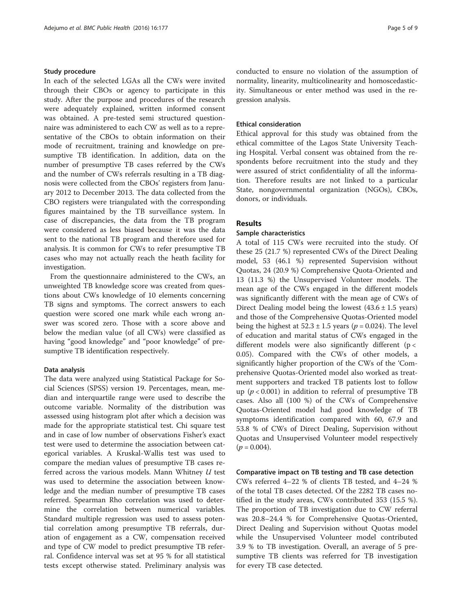# Study procedure

In each of the selected LGAs all the CWs were invited through their CBOs or agency to participate in this study. After the purpose and procedures of the research were adequately explained, written informed consent was obtained. A pre-tested semi structured questionnaire was administered to each CW as well as to a representative of the CBOs to obtain information on their mode of recruitment, training and knowledge on presumptive TB identification. In addition, data on the number of presumptive TB cases referred by the CWs and the number of CWs referrals resulting in a TB diagnosis were collected from the CBOs' registers from January 2012 to December 2013. The data collected from the CBO registers were triangulated with the corresponding figures maintained by the TB surveillance system. In case of discrepancies, the data from the TB program were considered as less biased because it was the data sent to the national TB program and therefore used for analysis. It is common for CWs to refer presumptive TB cases who may not actually reach the heath facility for investigation.

From the questionnaire administered to the CWs, an unweighted TB knowledge score was created from questions about CWs knowledge of 10 elements concerning TB signs and symptoms. The correct answers to each question were scored one mark while each wrong answer was scored zero. Those with a score above and below the median value (of all CWs) were classified as having "good knowledge" and "poor knowledge" of presumptive TB identification respectively.

# Data analysis

The data were analyzed using Statistical Package for Social Sciences (SPSS) version 19. Percentages, mean, median and interquartile range were used to describe the outcome variable. Normality of the distribution was assessed using histogram plot after which a decision was made for the appropriate statistical test. Chi square test and in case of low number of observations Fisher's exact test were used to determine the association between categorical variables. A Kruskal-Wallis test was used to compare the median values of presumptive TB cases referred across the various models. Mann Whitney U test was used to determine the association between knowledge and the median number of presumptive TB cases referred. Spearman Rho correlation was used to determine the correlation between numerical variables. Standard multiple regression was used to assess potential correlation among presumptive TB referrals, duration of engagement as a CW, compensation received and type of CW model to predict presumptive TB referral. Confidence interval was set at 95 % for all statistical tests except otherwise stated. Preliminary analysis was conducted to ensure no violation of the assumption of normality, linearity, multicolinearity and homoscedasticity. Simultaneous or enter method was used in the regression analysis.

# Ethical consideration

Ethical approval for this study was obtained from the ethical committee of the Lagos State University Teaching Hospital. Verbal consent was obtained from the respondents before recruitment into the study and they were assured of strict confidentiality of all the information. Therefore results are not linked to a particular State, nongovernmental organization (NGOs), CBOs, donors, or individuals.

# Results

# Sample characteristics

A total of 115 CWs were recruited into the study. Of these 25 (21.7 %) represented CWs of the Direct Dealing model, 53 (46.1 %) represented Supervision without Quotas, 24 (20.9 %) Comprehensive Quota-Oriented and 13 (11.3 %) the Unsupervised Volunteer models. The mean age of the CWs engaged in the different models was significantly different with the mean age of CWs of Direct Dealing model being the lowest  $(43.6 \pm 1.5 \text{ years})$ and those of the Comprehensive Quotas-Oriented model being the highest at  $52.3 \pm 1.5$  years ( $p = 0.024$ ). The level of education and marital status of CWs engaged in the different models were also significantly different ( $p <$ 0.05). Compared with the CWs of other models, a significantly higher proportion of the CWs of the 'Comprehensive Quotas-Oriented model also worked as treatment supporters and tracked TB patients lost to follow up ( $p < 0.001$ ) in addition to referral of presumptive TB cases. Also all (100 %) of the CWs of Comprehensive Quotas-Oriented model had good knowledge of TB symptoms identification compared with 60, 67.9 and 53.8 % of CWs of Direct Dealing, Supervision without Quotas and Unsupervised Volunteer model respectively  $(p = 0.004)$ .

# Comparative impact on TB testing and TB case detection

CWs referred 4–22 % of clients TB tested, and 4–24 % of the total TB cases detected. Of the 2282 TB cases notified in the study areas, CWs contributed 353 (15.5 %). The proportion of TB investigation due to CW referral was 20.8–24.4 % for Comprehensive Quotas-Oriented, Direct Dealing and Supervision without Quotas model while the Unsupervised Volunteer model contributed 3.9 % to TB investigation. Overall, an average of 5 presumptive TB clients was referred for TB investigation for every TB case detected.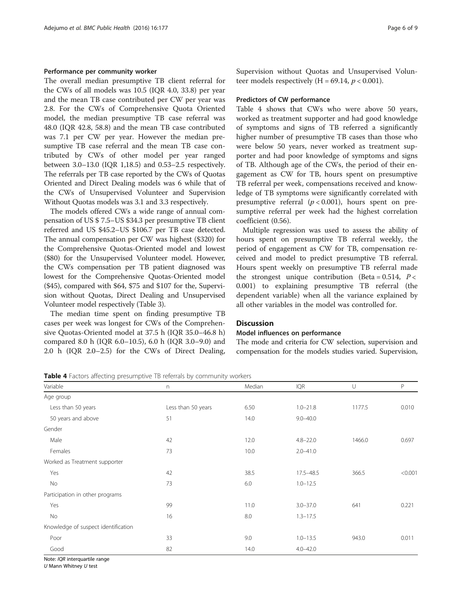# Performance per community worker

The overall median presumptive TB client referral for the CWs of all models was 10.5 (IQR 4.0, 33.8) per year and the mean TB case contributed per CW per year was 2.8. For the CWs of Comprehensive Quota Oriented model, the median presumptive TB case referral was 48.0 (IQR 42.8, 58.8) and the mean TB case contributed was 7.1 per CW per year. However the median presumptive TB case referral and the mean TB case contributed by CWs of other model per year ranged between 3.0–13.0 (IQR 1,18.5) and 0.53–2.5 respectively. The referrals per TB case reported by the CWs of Quotas Oriented and Direct Dealing models was 6 while that of the CWs of Unsupervised Volunteer and Supervision Without Quotas models was 3.1 and 3.3 respectively.

The models offered CWs a wide range of annual compensation of US \$ 7.5–US \$34.3 per presumptive TB client referred and US \$45.2–US \$106.7 per TB case detected. The annual compensation per CW was highest (\$320) for the Comprehensive Quotas-Oriented model and lowest (\$80) for the Unsupervised Volunteer model. However, the CWs compensation per TB patient diagnosed was lowest for the Comprehensive Quotas-Oriented model (\$45), compared with \$64, \$75 and \$107 for the, Supervision without Quotas, Direct Dealing and Unsupervised Volunteer model respectively (Table [3](#page-3-0)).

The median time spent on finding presumptive TB cases per week was longest for CWs of the Comprehensive Quotas-Oriented model at 37.5 h (IQR 35.0–46.8 h) compared 8.0 h (IQR 6.0–10.5), 6.0 h (IQR 3.0–9.0) and 2.0 h (IQR 2.0–2.5) for the CWs of Direct Dealing, Supervision without Quotas and Unsupervised Volunteer models respectively (H = 69.14,  $p < 0.001$ ).

# Predictors of CW performance

Table 4 shows that CWs who were above 50 years, worked as treatment supporter and had good knowledge of symptoms and signs of TB referred a significantly higher number of presumptive TB cases than those who were below 50 years, never worked as treatment supporter and had poor knowledge of symptoms and signs of TB. Although age of the CWs, the period of their engagement as CW for TB, hours spent on presumptive TB referral per week, compensations received and knowledge of TB symptoms were significantly correlated with presumptive referral  $(p < 0.001)$ , hours spent on presumptive referral per week had the highest correlation coefficient (0.56).

Multiple regression was used to assess the ability of hours spent on presumptive TB referral weekly, the period of engagement as CW for TB, compensation received and model to predict presumptive TB referral. Hours spent weekly on presumptive TB referral made the strongest unique contribution (Beta =  $0.514$ , P < 0.001) to explaining presumptive TB referral (the dependent variable) when all the variance explained by all other variables in the model was controlled for.

# **Discussion**

### Model influences on performance

The mode and criteria for CW selection, supervision and compensation for the models studies varied. Supervision,

Table 4 Factors affecting presumptive TB referrals by community workers

| Variable                            | n                  | Median | <b>IQR</b>    | U      | P       |
|-------------------------------------|--------------------|--------|---------------|--------|---------|
| Age group                           |                    |        |               |        |         |
| Less than 50 years                  | Less than 50 years | 6.50   | $1.0 - 21.8$  | 1177.5 | 0.010   |
| 50 years and above                  | 51                 | 14.0   | $9.0 - 40.0$  |        |         |
| Gender                              |                    |        |               |        |         |
| Male                                | 42                 | 12.0   | $4.8 - 22.0$  | 1466.0 | 0.697   |
| Females                             | 73                 | 10.0   | $2.0 - 41.0$  |        |         |
| Worked as Treatment supporter       |                    |        |               |        |         |
| Yes                                 | 42                 | 38.5   | $17.5 - 48.5$ | 366.5  | < 0.001 |
| No                                  | 73                 | 6.0    | $1.0 - 12.5$  |        |         |
| Participation in other programs     |                    |        |               |        |         |
| Yes                                 | 99                 | 11.0   | $3.0 - 37.0$  | 641    | 0.221   |
| No                                  | 16                 | 8.0    | $1.3 - 17.5$  |        |         |
| Knowledge of suspect identification |                    |        |               |        |         |
| Poor                                | 33                 | 9.0    | $1.0 - 13.5$  | 943.0  | 0.011   |
| Good                                | 82                 | 14.0   | $4.0 - 42.0$  |        |         |

Note: *IOR* interquartile range

 $U$  Mann Whitney  $U$  test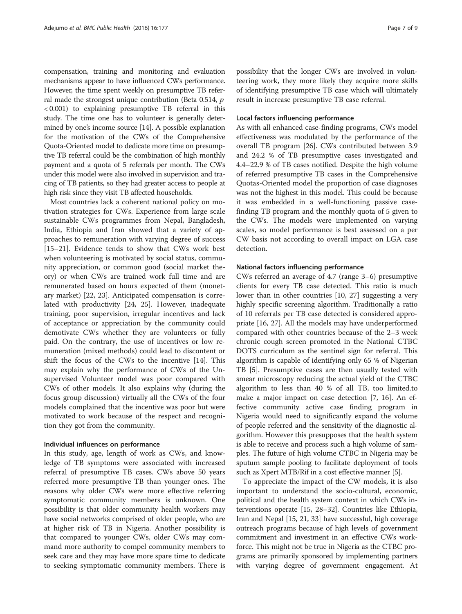compensation, training and monitoring and evaluation mechanisms appear to have influenced CWs performance. However, the time spent weekly on presumptive TB referral made the strongest unique contribution (Beta 0.514, p < 0.001) to explaining presumptive TB referral in this study. The time one has to volunteer is generally determined by one's income source [\[14\]](#page-8-0). A possible explanation for the motivation of the CWs of the Comprehensive Quota-Oriented model to dedicate more time on presumptive TB referral could be the combination of high monthly payment and a quota of 5 referrals per month. The CWs under this model were also involved in supervision and tracing of TB patients, so they had greater access to people at high risk since they visit TB affected households.

Most countries lack a coherent national policy on motivation strategies for CWs. Experience from large scale sustainable CWs programmes from Nepal, Bangladesh, India, Ethiopia and Iran showed that a variety of approaches to remuneration with varying degree of success [[15](#page-8-0)–[21](#page-8-0)]. Evidence tends to show that CWs work best when volunteering is motivated by social status, community appreciation, or common good (social market theory) or when CWs are trained work full time and are remunerated based on hours expected of them (monetary market) [[22, 23](#page-8-0)]. Anticipated compensation is correlated with productivity [[24, 25](#page-8-0)]. However, inadequate training, poor supervision, irregular incentives and lack of acceptance or appreciation by the community could demotivate CWs whether they are volunteers or fully paid. On the contrary, the use of incentives or low remuneration (mixed methods) could lead to discontent or shift the focus of the CWs to the incentive [[14](#page-8-0)]. This may explain why the performance of CWs of the Unsupervised Volunteer model was poor compared with CWs of other models. It also explains why (during the focus group discussion) virtually all the CWs of the four models complained that the incentive was poor but were motivated to work because of the respect and recognition they got from the community.

### Individual influences on performance

In this study, age, length of work as CWs, and knowledge of TB symptoms were associated with increased referral of presumptive TB cases. CWs above 50 years referred more presumptive TB than younger ones. The reasons why older CWs were more effective referring symptomatic community members is unknown. One possibility is that older community health workers may have social networks comprised of older people, who are at higher risk of TB in Nigeria. Another possibility is that compared to younger CWs, older CWs may command more authority to compel community members to seek care and they may have more spare time to dedicate to seeking symptomatic community members. There is

possibility that the longer CWs are involved in volunteering work, they more likely they acquire more skills of identifying presumptive TB case which will ultimately result in increase presumptive TB case referral.

# Local factors influencing performance

As with all enhanced case-finding programs, CWs model effectiveness was modulated by the performance of the overall TB program [\[26\]](#page-8-0). CWs contributed between 3.9 and 24.2 % of TB presumptive cases investigated and 4.4–22.9 % of TB cases notified. Despite the high volume of referred presumptive TB cases in the Comprehensive Quotas-Oriented model the proportion of case diagnoses was not the highest in this model. This could be because it was embedded in a well-functioning passive casefinding TB program and the monthly quota of 5 given to the CWs. The models were implemented on varying scales, so model performance is best assessed on a per CW basis not according to overall impact on LGA case detection.

# National factors influencing performance

CWs referred an average of 4.7 (range 3–6) presumptive clients for every TB case detected. This ratio is much lower than in other countries [[10, 27](#page-8-0)] suggesting a very highly specific screening algorithm. Traditionally a ratio of 10 referrals per TB case detected is considered appropriate [\[16](#page-8-0), [27](#page-8-0)]. All the models may have underperformed compared with other countries because of the 2–3 week chronic cough screen promoted in the National CTBC DOTS curriculum as the sentinel sign for referral. This algorithm is capable of identifying only 65 % of Nigerian TB [[5\]](#page-7-0). Presumptive cases are then usually tested with smear microscopy reducing the actual yield of the CTBC algorithm to less than 40 % of all TB, too limited.to make a major impact on case detection [[7,](#page-7-0) [16\]](#page-8-0). An effective community active case finding program in Nigeria would need to significantly expand the volume of people referred and the sensitivity of the diagnostic algorithm. However this presupposes that the health system is able to receive and process such a high volume of samples. The future of high volume CTBC in Nigeria may be sputum sample pooling to facilitate deployment of tools such as Xpert MTB/Rif in a cost effective manner [[5\]](#page-7-0).

To appreciate the impact of the CW models, it is also important to understand the socio-cultural, economic, political and the health system context in which CWs interventions operate [[15, 28](#page-8-0)–[32\]](#page-8-0). Countries like Ethiopia, Iran and Nepal [[15](#page-8-0), [21](#page-8-0), [33\]](#page-8-0) have successful, high coverage outreach programs because of high levels of government commitment and investment in an effective CWs workforce. This might not be true in Nigeria as the CTBC programs are primarily sponsored by implementing partners with varying degree of government engagement. At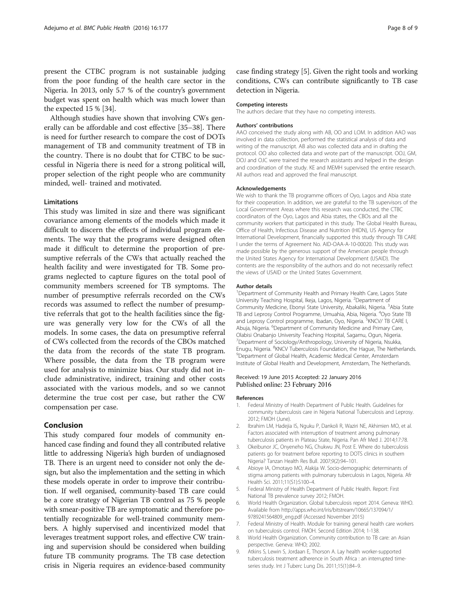<span id="page-7-0"></span>present the CTBC program is not sustainable judging from the poor funding of the health care sector in the Nigeria. In 2013, only 5.7 % of the country's government budget was spent on health which was much lower than the expected 15 % [[34](#page-8-0)].

Although studies have shown that involving CWs generally can be affordable and cost effective [\[35](#page-8-0)–[38\]](#page-8-0). There is need for further research to compare the cost of DOTs management of TB and community treatment of TB in the country. There is no doubt that for CTBC to be successful in Nigeria there is need for a strong political will, proper selection of the right people who are community minded, well- trained and motivated.

#### **Limitations**

This study was limited in size and there was significant covariance among elements of the models which made it difficult to discern the effects of individual program elements. The way that the programs were designed often made it difficult to determine the proportion of presumptive referrals of the CWs that actually reached the health facility and were investigated for TB. Some programs neglected to capture figures on the total pool of community members screened for TB symptoms. The number of presumptive referrals recorded on the CWs records was assumed to reflect the number of presumptive referrals that got to the health facilities since the figure was generally very low for the CWs of all the models. In some cases, the data on presumptive referral of CWs collected from the records of the CBOs matched the data from the records of the state TB program. Where possible, the data from the TB program were used for analysis to minimize bias. Our study did not include administrative, indirect, training and other costs associated with the various models, and so we cannot determine the true cost per case, but rather the CW compensation per case.

# Conclusion

This study compared four models of community enhanced case finding and found they all contributed relative little to addressing Nigeria's high burden of undiagnosed TB. There is an urgent need to consider not only the design, but also the implementation and the setting in which these models operate in order to improve their contribution. If well organised, community-based TB care could be a core strategy of Nigerian TB control as 75 % people with smear-positive TB are symptomatic and therefore potentially recognizable for well-trained community members. A highly supervised and incentivized model that leverages treatment support roles, and effective CW training and supervision should be considered when building future TB community programs. The TB case detection crisis in Nigeria requires an evidence-based community case finding strategy [5]. Given the right tools and working conditions, CWs can contribute significantly to TB case detection in Nigeria.

#### Competing interests

The authors declare that they have no competing interests.

#### Authors' contributions

AAO conceived the study along with AB, OO and LOM. In addition AAO was involved in data collection, performed the statistical analysis of data and writing of the manuscript. AB also was collected data and in drafting the protocol. OO also collected data and wrote part of the manuscript. OOJ, GM, DOJ and OJC were trained the research assistants and helped in the design and coordination of the study. KE and MEMH supervised the entire research. All authors read and approved the final manuscript.

#### Acknowledgements

We wish to thank the TB programme officers of Oyo, Lagos and Abia state for their cooperation. In addition, we are grateful to the TB supervisors of the Local Government Areas where this research was conducted, the CTBC coordinators of the Oyo, Lagos and Abia states, the CBOs and all the community workers that participated in this study. The Global Health Bureau, Office of Health, Infectious Disease and Nutrition (HIDN), US Agency for International Development, financially supported this study through TB CARE I under the terms of Agreement No. AID-OAA-A-10-00020. This study was made possible by the generous support of the American people through the United States Agency for International Development (USAID). The contents are the responsibility of the authors and do not necessarily reflect the views of USAID or the United States Government.

#### Author details

<sup>1</sup>Department of Community Health and Primary Health Care, Lagos State University Teaching Hospital, Ikeja, Lagos, Nigeria. <sup>2</sup>Department of Community Medicine, Ebonyi State University, Abakaliki, Nigeria. <sup>3</sup>Abia State TB and Leprosy Control Programme, Umuahia, Abia, Nigeria. <sup>4</sup>Oyo State TB and Leprosy Control programme, Ibadan, Oyo, Nigeria.<sup>5</sup>KNCV/ TB CARE I, Abuja, Nigeria. <sup>6</sup>Department of Community Medicine and Primary Care, Olabisi Onabanjo University Teaching Hospital, Sagamu, Ogun, Nigeria. 7 Department of Sociology/Anthropology, University of Nigeria, Nsukka, Enugu, Nigeria. <sup>8</sup>KNCV Tuberculosis Foundation, the Hague, The Netherlands.<br><sup>9</sup>Department of Global Haalth, Academic Medical Conter, Amsterdam. <sup>9</sup>Department of Global Health, Academic Medical Center, Amsterdam Institute of Global Health and Development, Amsterdam, The Netherlands.

# Received: 19 June 2015 Accepted: 22 January 2016 Published online: 23 February 2016

#### References

- 1. Federal Ministry of Health Department of Public Health. Guidelines for community tuberculosis care in Nigeria National Tuberculosis and Leprosy. 2012; FMOH (June).
- 2. Ibrahim LM, Hadejia IS, Nguku P, Dankoli R, Waziri NE, Akhimien MO, et al. Factors associated with interruption of treatment among pulmonary tuberculosis patients in Plateau State, Nigeria. Pan Afr Med J. 2014;17:78.
- 3. Okeibunor JC, Onyeneho NG, Chukwu JN, Post E. Where do tuberculosis patients go for treatment before reporting to DOTS clinics in southern Nigeria? Tanzan Health Res Bull. 2007;9(2):94–101.
- 4. Abioye IA, Omotayo MO, Alakija W. Socio-demographic determinants of stigma among patients with pulmonary tuberculosis in Lagos, Nigeria. Afr Health Sci. 2011;11(S1):S100–4.
- 5. Federal Ministry of Health Department of Public Health. Report: First National TB prevalence survey 2012; FMOH.
- 6. World Health Organization. Global tuberculosis report 2014. Geneva: WHO. Available from [http://apps.who.int/iris/bitstream/10665/137094/1/](http://apps.who.int/iris/bitstream/10665/137094/1/9789241564809_eng.pdf) [9789241564809\\_eng.pdf](http://apps.who.int/iris/bitstream/10665/137094/1/9789241564809_eng.pdf) (Accessed November 2015)
- 7. Federal Ministry of Health. Module for training general health care workers on tuberculosis control. FMOH. Second Edition 2014; 1-138.
- 8. World Health Organization. Community contribution to TB care: an Asian perspective. Geneva: WHO; 2002.
- 9. Atkins S, Lewin S, Jordaan E, Thorson A. Lay health worker-supported tuberculosis treatment adherence in South Africa : an interrupted timeseries study. Int J Tuberc Lung Dis. 2011;15(1):84–9.